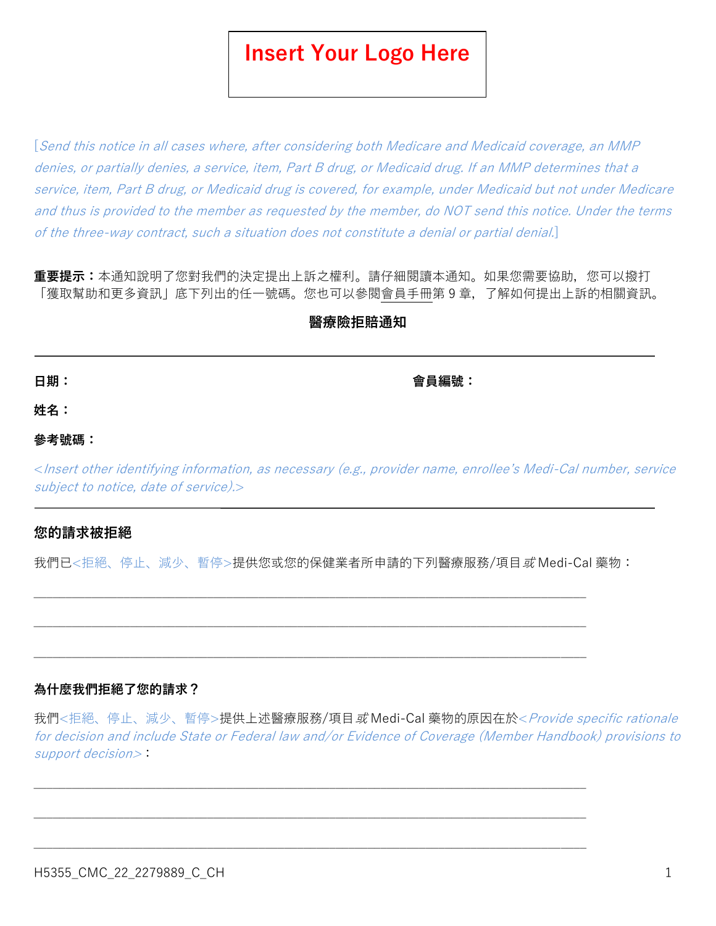# **Insert Your Logo Here**

[Send this notice in all cases where, after considering both Medicare and Medicaid coverage, an MMP denies, or partially denies, a service, item, Part B drug, or Medicaid drug. If an MMP determines that a service, item, Part B drug, or Medicaid drug is covered, for example, under Medicaid but not under Medicare and thus is provided to the member as requested by the member, do NOT send this notice. Under the terms of the three-way contract, such a situation does not constitute a denial or partial denial.]

**重要提示:**本通知說明了您對我們的決定提出上訴之權利。請仔細閱讀本通知。如果您需要協助,您可以撥打 「獲取幫助和更多資訊」底下列出的任一號碼。您也可以參閱會員手冊第 9 章,了解如何提出上訴的相關資訊。

# **醫療險拒賠通知**

**日期: 會員編號:**

**姓名:**

## **參考號碼:**

<Insert other identifying information, as necessary (e.g., provider name, enrollee's Medi-Cal number, service subject to notice, date of service).

# **您的請求被拒絕**

我們已<拒絕、停止、減少、暫停>提供您或您的保健業者所申請的下列醫療服務/項目或 Medi-Cal 藥物:

 $\_$  , and the set of the set of the set of the set of the set of the set of the set of the set of the set of the set of the set of the set of the set of the set of the set of the set of the set of the set of the set of th

 $\_$  , and the set of the set of the set of the set of the set of the set of the set of the set of the set of the set of the set of the set of the set of the set of the set of the set of the set of the set of the set of th

 $\_$  , and the set of the set of the set of the set of the set of the set of the set of the set of the set of the set of the set of the set of the set of the set of the set of the set of the set of the set of the set of th

 $\_$  , and the set of the set of the set of the set of the set of the set of the set of the set of the set of the set of the set of the set of the set of the set of the set of the set of the set of the set of the set of th

# **為什麼我們拒絕了您的請求?**

我們<拒絕、停止、減少、暫停>提供上述醫療服務/項目*或* Medi-Cal 藥物的原因在於<*Provide specific rationale* for decision and include State or Federal law and/or Evidence of Coverage (Member Handbook) provisions to support decision>: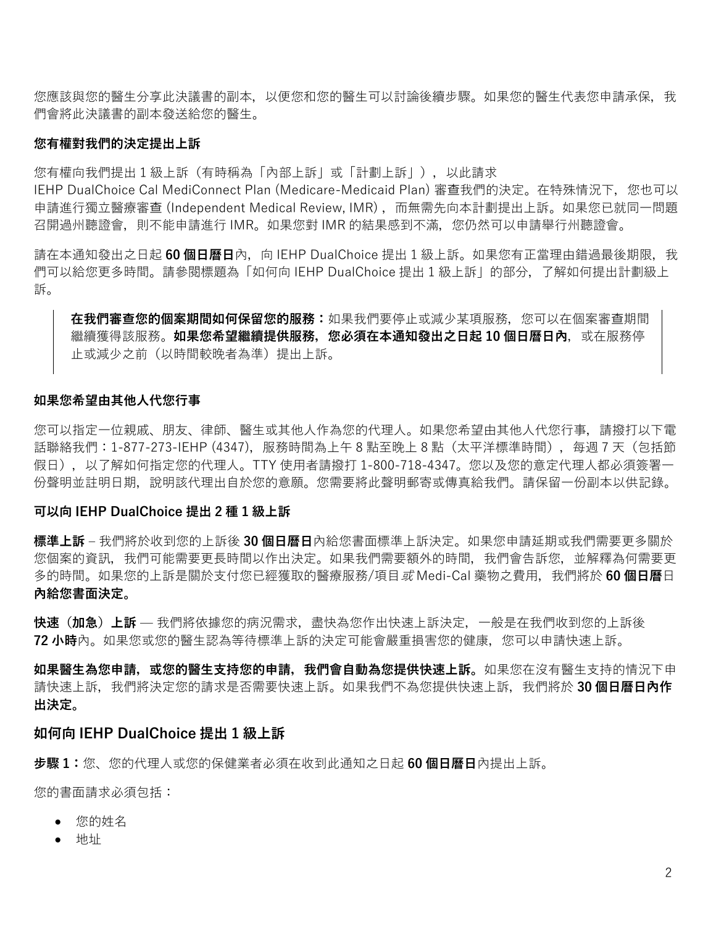您應該與您的醫生分享此決議書的副本,以便您和您的醫生可以討論後續步驟。如果您的醫生代表您申請承保,我 們會將此決議書的副本發送給您的醫生。

## **您有權對我們的決定提出上訴**

您有權向我們提出 1 級上訴(有時稱為「內部上訴」或「計劃上訴」),以此請求

IEHP DualChoice Cal MediConnect Plan (Medicare-Medicaid Plan) 審查我們的決定。在特殊情況下, 您也可以 申請進行獨立醫療審查 (Independent Medical Review, IMR), 而無需先向本計劃提出上訴。如果您已就同一問題 召開過州聽證會,則不能申請進行 IMR。如果您對 IMR 的結果感到不滿,您仍然可以申請舉行州聽證會。

請在本通知發出之日起 60 個日曆日內,向 IEHP DualChoice 提出 1 級上訴。如果您有正當理由錯過最後期限,我 們可以給您更多時間。請參閱標題為「如何向 IEHP DualChoice 提出 1 級上訴」的部分,了解如何提出計劃級上 訴。

**在我們審查您的個案期間如何保留您的服務:**如果我們要停止或減少某項服務,您可以在個案審查期間 繼續獲得該服務。**如果您希望繼續提供服務,您必須在本通知發出之日起 10 個日曆日內**,或在服務停 止或減少之前(以時間較晚者為準)提出上訴。

#### **如果您希望由其他人代您行事**

您可以指定一位親戚、朋友、律師、醫生或其他人作為您的代理人。如果您希望由其他人代您行事,請撥打以下電 話聯絡我們:1-877-273-IEHP (4347),服務時間為上午 8 點至晚上 8 點 (太平洋標準時間),每週 7 天 (包括節 假日),以了解如何指定您的代理人。TTY 使用者請撥打 1-800-718-4347。您以及您的意定代理人都必須簽署一 份聲明並註明日期,說明該代理出自於您的意願。您需要將此聲明郵寄或傳真給我們。請保留一份副本以供記錄。

#### **可以向 IEHP DualChoice 提出 2 種 1 級上訴**

**標準上訴** – 我們將於收到您的上訴後 **30 個日曆日**內給您書面標準上訴決定。如果您申請延期或我們需要更多關於 您個案的資訊,我們可能需要更長時間以作出決定。如果我們需要額外的時間,我們會告訴您,並解釋為何需要更 多的時間。如果您的上訴是關於支付您已經獲取的醫療服務/項目或 Medi-Cal 藥物之費用,我們將於 **60 個日曆**日 **內給您書面決定。**

**快速(加急)上訴** — 我們將依據您的病況需求,盡快為您作出快速上訴決定,一般是在我們收到您的上訴後 **72 小時**內。如果您或您的醫生認為等待標準上訴的決定可能會嚴重損害您的健康,您可以申請快速上訴。

**如果醫生為您申請,或您的醫生支持您的申請,我們會自動為您提供快速上訴。**如果您在沒有醫生支持的情況下申 請快速上訴,我們將決定您的請求是否需要快速上訴。如果我們不為您提供快速上訴,我們將於 **30 個日曆日內作 出決定。**

## **如何向 IEHP DualChoice 提出 1 級上訴**

**步驟 1:**您、您的代理人或您的保健業者必須在收到此通知之日起 **60 個日曆日**內提出上訴。

您的書面請求必須包括:

- 您的姓名
- 地址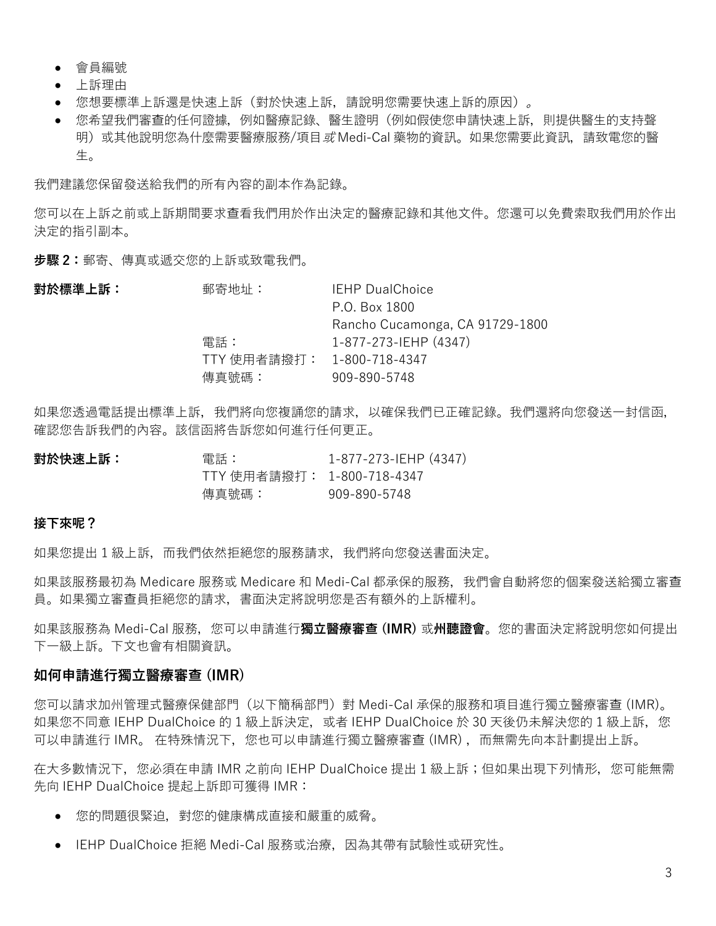- 會員編號
- 上訴理由
- 您想要標準上訴還是快速上訴(對於快速上訴,請說明您需要快速上訴的原因)。
- 您希望我們審查的任何證據,例如醫療記錄、醫生證明(例如假使您申請快速上訴,則提供醫生的支持聲 明)或其他說明您為什麼需要醫療服務/項目或 Medi-Cal 藥物的資訊。如果您需要此資訊,請致電您的醫 生。

我們建議您保留發送給我們的所有內容的副本作為記錄。

您可以在上訴之前或上訴期間要求查看我們用於作出決定的醫療記錄和其他文件。您還可以免費索取我們用於作出 決定的指引副本。

**步驟 2:**郵寄、傳真或遞交您的上訴或致電我們。

| 對於標準上訴: | 郵寄地址:                      | <b>IEHP DualChoice</b>          |
|---------|----------------------------|---------------------------------|
|         |                            | P.O. Box 1800                   |
|         |                            | Rancho Cucamonga, CA 91729-1800 |
|         | 電話:                        | 1-877-273-IEHP (4347)           |
|         | TTY 使用者請撥打: 1-800-718-4347 |                                 |
|         | 傳真號碼:                      | 909-890-5748                    |

如果您透過電話提出標準上訴,我們將向您複誦您的請求,以確保我們已正確記錄。我們還將向您發送一封信函, 確認您告訴我們的內容。該信函將告訴您如何進行任何更正。

**對於快速上訴:** 雷話: 1-877-273-IEHP (4347) TTY 使用者請撥打: 1-800-718-4347 傳真號碼: 909-890-5748

## **接下來呢?**

如果您提出 1 級上訴, 而我們依然拒絕您的服務請求, 我們將向您發送書面決定。

如果該服務最初為 Medicare 服務或 Medicare 和 Medi-Cal 都承保的服務,我們會自動將您的個案發送給獨立審查 員。如果獨立審查員拒絕您的請求,書面決定將說明您是否有額外的上訴權利。

如果該服務為 Medi-Cal 服務,您可以申請進行**獨立醫療審查 (IMR)** 或**州聽證會**。您的書面決定將說明您如何提出 下一級上訴。下文也會有相關資訊。

## **如何申請進行獨立醫療審查 (IMR)**

您可以請求加州管理式醫療保健部門(以下簡稱部門)對 Medi-Cal 承保的服務和項目進行獨立醫療審查 (IMR)。 如果您不同意 IEHP DualChoice 的 1 級上訴決定, 或者 IEHP DualChoice 於 30 天後仍未解決您的 1 級上訴, 您 可以申請進行 IMR。 在特殊情況下, 您也可以申請進行獨立醫療審查 (IMR), 而無需先向本計劃提出上訴。

在大多數情況下,您必須在申請 IMR 之前向 IEHP DualChoice 提出 1 級上訴;但如果出現下列情形,您可能無需 先向 IEHP DualChoice 提起上訴即可獲得 IMR:

- 您的問題很緊迫,對您的健康構成直接和嚴重的威脅。
- IEHP DualChoice 拒絕 Medi-Cal 服務或治療, 因為其帶有試驗性或研究性。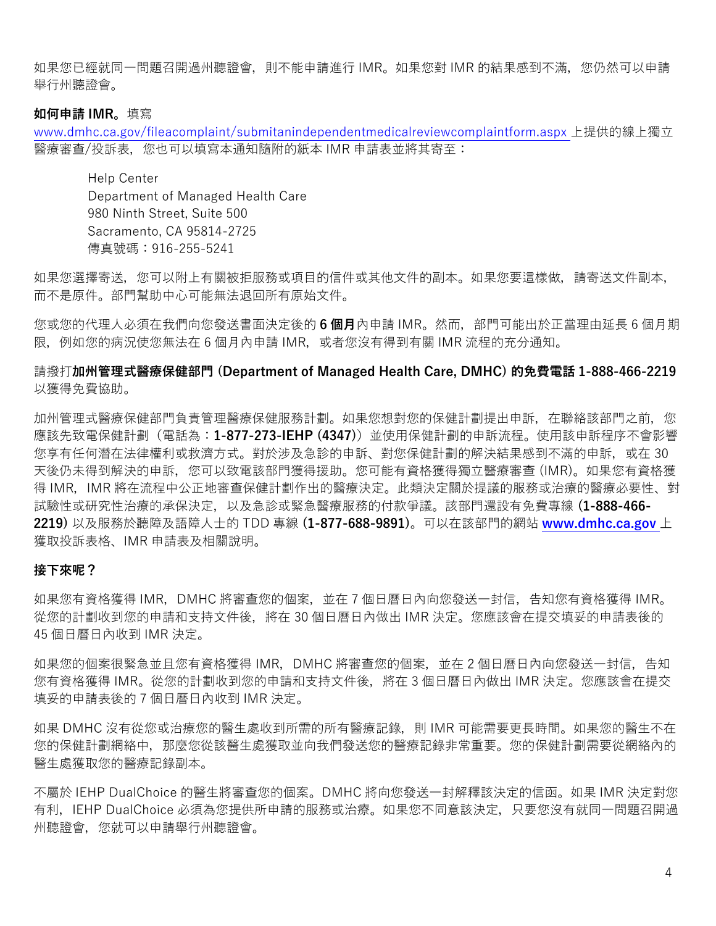如果您已經就同一問題召開過州聽證會,則不能申請進行 IMR。如果您對 IMR 的結果感到不滿,您仍然可以申請 舉行州聽證會。

#### **如何申請 IMR。**填寫

[www.dmhc.ca.gov/fileacomplaint/submitanindependentmedicalreviewcomplaintform.aspx](https://www.dmhc.ca.gov/fileacomplaint/submitanindependentmedicalreviewcomplaintform.aspx) 上提供的線上獨立 醫療審查/投訴表,您也可以填寫本通知隨附的紙本 IMR 申請表並將其寄至:

Help Center Department of Managed Health Care 980 Ninth Street, Suite 500 Sacramento, CA 95814-2725 傳真號碼:916-255-5241

如果您選擇寄送,您可以附上有關被拒服務或項目的信件或其他文件的副本。如果您要這樣做,請寄送文件副本, 而不是原件。部門幫助中心可能無法退回所有原始文件。

您或您的代理人必須在我們向您發送書面決定後的 **6 個月**內申請 IMR。然而,部門可能出於正當理由延長 6 個月期 限, 例如您的病況使您無法在 6 個月內申請 IMR, 或者您沒有得到有關 IMR 流程的充分通知。

## 請撥打**加州管理式醫療保健部門 (Department of Managed Health Care, DMHC) 的免費電話 1-888-466-2219** 以獲得免費協助。

加州管理式醫療保健部門負責管理醫療保健服務計劃。如果您想對您的保健計劃提出申訴,在聯絡該部門之前,您 應該先致電保健計劃(電話為:**1-877-273-IEHP (4347)**)並使用保健計劃的申訴流程。使用該申訴程序不會影響 您享有任何潛在法律權利或救濟方式。對於涉及急診的申訴、對您保健計劃的解決結果感到不滿的申訴,或在 30 天後仍未得到解決的申訴,您可以致電該部門獲得援助。您可能有資格獲得獨立醫療審查 (IMR)。如果您有資格獲 得 IMR, IMR 將在流程中公正地審查保健計劃作出的醫療決定。此類決定關於提議的服務或治療的醫療必要性、對 試驗性或研究性治療的承保決定,以及急診或緊急醫療服務的付款爭議。該部門還設有免費專線 **(1-888-466- 2219)** 以及服務於聽障及語障人士的 TDD 專線 **(1-877-688-9891)**。可以在該部門的網站 **[www.dmhc.ca.gov](http://www.dmhc.ca.gov/)** 上 獲取投訴表格、IMR 申請表及相關說明。

#### **接下來呢?**

如果您有資格獲得 IMR,DMHC 將審查您的個案,並在 7 個日曆日內向您發送一封信,告知您有資格獲得 IMR。 從您的計劃收到您的申請和支持文件後,將在 30 個日曆日內做出 IMR 決定。您應該會在提交填妥的申請表後的 45 個日曆日內收到 IMR 決定。

如果您的個案很緊急並且您有資格獲得 IMR,DMHC 將審查您的個案,並在 2 個日曆日內向您發送一封信,告知 您有資格獲得 IMR。從您的計劃收到您的申請和支持文件後,將在 3 個日曆日內做出 IMR 決定。您應該會在提交 填妥的申請表後的 7 個日曆日內收到 IMR 決定。

如果 DMHC 沒有從您或治療您的醫生處收到所需的所有醫療記錄, 則 IMR 可能需要更長時間。如果您的醫生不在 您的保健計劃網絡中,那麼您從該醫生處獲取並向我們發送您的醫療記錄非常重要。您的保健計劃需要從網絡內的 醫生處獲取您的醫療記錄副本。

不屬於 IEHP DualChoice 的醫生將審查您的個案。DMHC 將向您發送一封解釋該決定的信函。如果 IMR 決定對您 有利, IEHP DualChoice 必須為您提供所申請的服務或治療。如果您不同意該決定, 只要您沒有就同一問題召開過 州聽證會, 您就可以申請舉行州聽證會。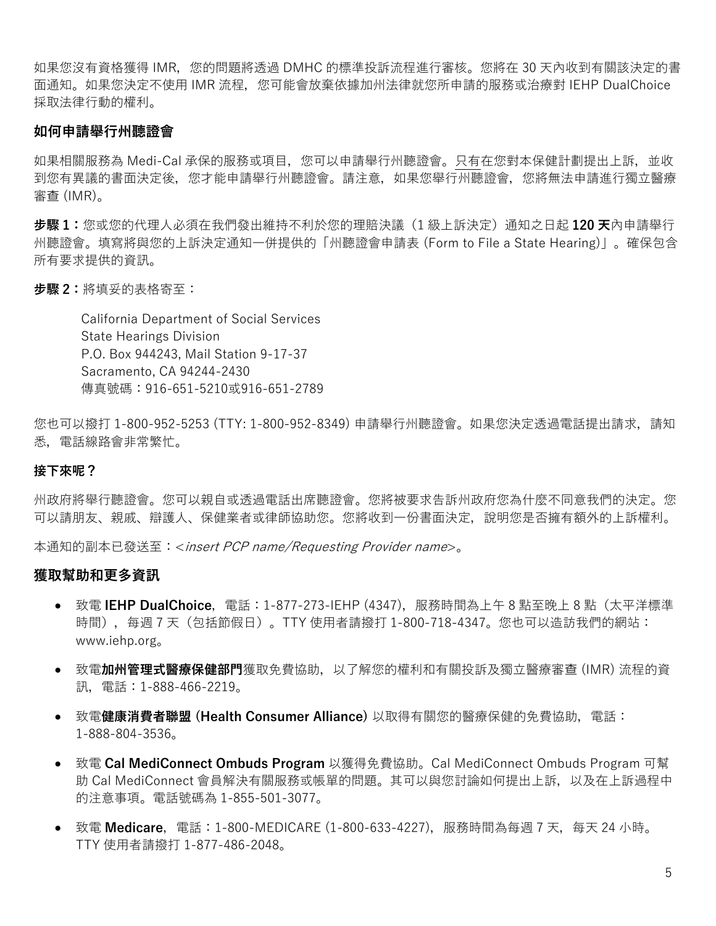如果您沒有資格獲得 IMR,您的問題將透過 DMHC 的標準投訴流程進行審核。您將在 30 天內收到有關該決定的書 面通知。如果您決定不使用 IMR 流程,您可能會放棄依據加州法律就您所申請的服務或治療對 IEHP DualChoice 採取法律行動的權利。

# **如何申請舉行州聽證會**

如果相關服務為 Medi-Cal 承保的服務或項目,您可以申請舉行州聽證會。只有在您對本保健計劃提出上訴,並收 到您有異議的書面決定後,您才能申請舉行州聽證會。請注意,如果您舉行州聽證會,您將無法申請進行獨立醫療 審查 (IMR)。

**步驟 1:**您或您的代理人必須在我們發出維持不利於您的理賠決議(1 級上訴決定)通知之日起 **120 天**內申請舉行 州聽證會。填寫將與您的上訴決定通知一併提供的「州聽證會申請表 (Form to File a State Hearing)」。確保包含 所有要求提供的資訊。

**步驟 2:**將填妥的表格寄至:

California Department of Social Services State Hearings Division P.O. Box 944243, Mail Station 9-17-37 Sacramento, CA 94244-2430 傳真號碼:916-651-5210或916-651-2789

您也可以撥打 1-800-952-5253 (TTY: 1-800-952-8349) 申請舉行州聽證會。如果您決定透過電話提出請求,請知 悉,電話線路會非常繁忙。

## **接下來呢?**

州政府將舉行聽證會。您可以親自或透過電話出席聽證會。您將被要求告訴州政府您為什麼不同意我們的決定。您 可以請朋友、親戚、辯護人、保健業者或律師協助您。您將收到一份書面決定,說明您是否擁有額外的上訴權利。

本通知的副本已發送至:<insert PCP name/Requesting Provider name>。

#### **獲取幫助和更多資訊**

- 致電 IEHP DualChoice, 電話: 1-877-273-IEHP (4347), 服務時間為上午 8 點至晚上 8 點 (太平洋標準 時間),每週 7 天(包括節假日)。TTY 使用者請撥打 1-800-718-4347。您也可以造訪我們的網站: www.iehp.org。
- 致電**加州管理式醫療保健部門**獲取免費協助,以了解您的權利和有關投訴及獨立醫療審查 (IMR) 流程的資 訊,電話:1-888-466-2219。
- 致電**健康消費者聯盟 (Health Consumer Alliance)** 以取得有關您的醫療保健的免費協助,電話: 1-888-804-3536。
- 致電 **Cal MediConnect Ombuds Program** 以獲得免費協助。Cal MediConnect Ombuds Program 可幫 助 Cal MediConnect 會員解決有關服務或帳單的問題。其可以與您討論如何提出上訴,以及在上訴過程中 的注意事項。電話號碼為 1-855-501-3077。
- 致電 **Medicare**,電話:1-800-MEDICARE (1-800-633-4227),服務時間為每週 7 天,每天 24 小時。 TTY 使用者請撥打 1-877-486-2048。